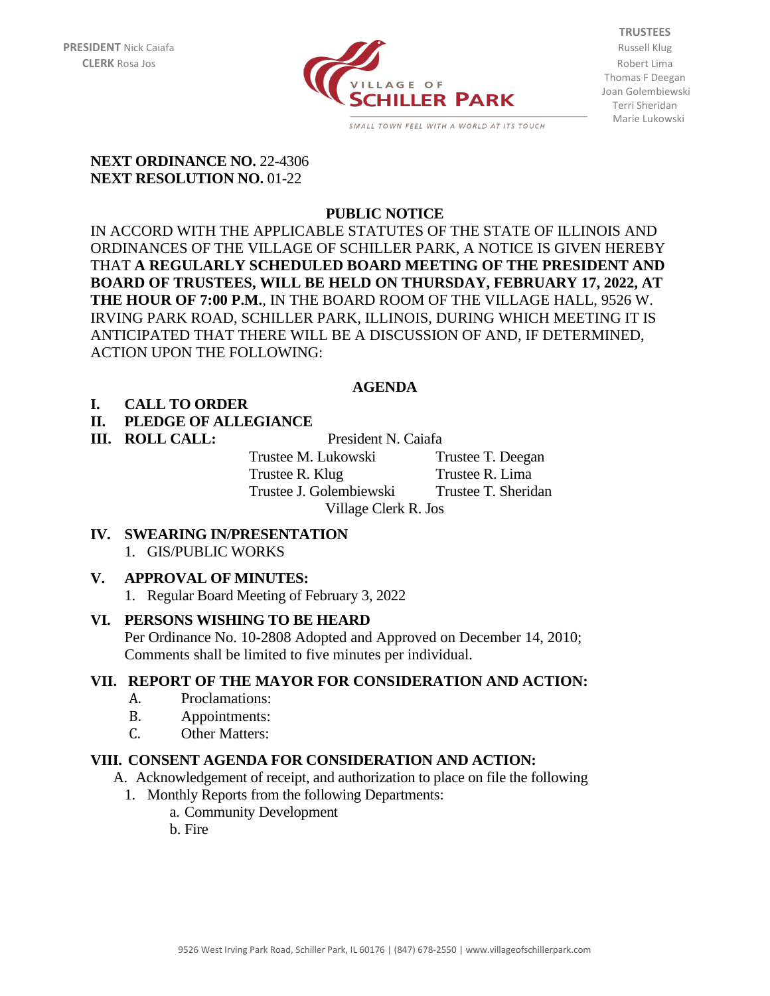

**TRUSTEES** Thomas F Deegan Joan Golembiewski Terri Sheridan Marie Lukowski

#### **NEXT ORDINANCE NO. 22-4306 NEXT RESOLUTION NO.** 01-22

## **PUBLIC NOTICE**

IN ACCORD WITH THE APPLICABLE STATUTES OF THE STATE OF ILLINOIS AND ORDINANCES OF THE VILLAGE OF SCHILLER PARK, A NOTICE IS GIVEN HEREBY THAT **A REGULARLY SCHEDULED BOARD MEETING OF THE PRESIDENT AND BOARD OF TRUSTEES, WILL BE HELD ON THURSDAY, FEBRUARY 17, 2022, AT THE HOUR OF 7:00 P.M.**, IN THE BOARD ROOM OF THE VILLAGE HALL, 9526 W. IRVING PARK ROAD, SCHILLER PARK, ILLINOIS, DURING WHICH MEETING IT IS ANTICIPATED THAT THERE WILL BE A DISCUSSION OF AND, IF DETERMINED, ACTION UPON THE FOLLOWING:

### **AGENDA**

### **I. CALL TO ORDER**

### **II. PLEDGE OF ALLEGIANCE**

**III. ROLL CALL:** President N. Caiafa

Trustee M. Lukowski Trustee T. Deegan Trustee R. Klug Trustee R. Lima Trustee J. Golembiewski Trustee T. Sheridan Village Clerk R. Jos

**IV. SWEARING IN/PRESENTATION** 1. GIS/PUBLIC WORKS

### **V. APPROVAL OF MINUTES:**

1. Regular Board Meeting of February 3, 2022

### **VI. PERSONS WISHING TO BE HEARD**

Per Ordinance No. 10-2808 Adopted and Approved on December 14, 2010; Comments shall be limited to five minutes per individual.

### **VII. REPORT OF THE MAYOR FOR CONSIDERATION AND ACTION:**

- A. Proclamations:
- B. Appointments:
- C. Other Matters:

### **VIII. CONSENT AGENDA FOR CONSIDERATION AND ACTION:**

- A. Acknowledgement of receipt, and authorization to place on file the following
	- 1. Monthly Reports from the following Departments:
		- a. Community Development
		- b. Fire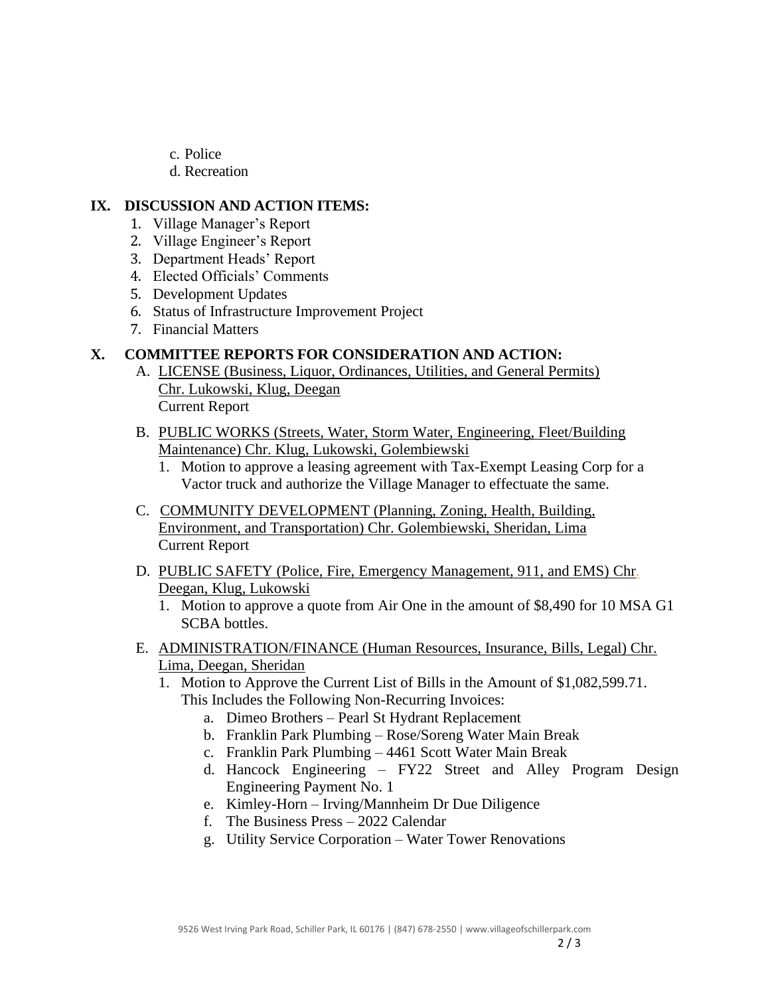- c. Police
- d. Recreation

#### **IX. DISCUSSION AND ACTION ITEMS:**

- 1. Village Manager's Report
- 2. Village Engineer's Report
- 3. Department Heads' Report
- 4. Elected Officials' Comments
- 5. Development Updates
- 6. Status of Infrastructure Improvement Project
- 7. Financial Matters

### **X. COMMITTEE REPORTS FOR CONSIDERATION AND ACTION:**

- A. LICENSE (Business, Liquor, Ordinances, Utilities, and General Permits) Chr. Lukowski, Klug, Deegan Current Report
- B. PUBLIC WORKS (Streets, Water, Storm Water, Engineering, Fleet/Building Maintenance) Chr. Klug, Lukowski, Golembiewski
	- 1. Motion to approve a leasing agreement with Tax-Exempt Leasing Corp for a Vactor truck and authorize the Village Manager to effectuate the same.
- C. COMMUNITY DEVELOPMENT (Planning, Zoning, Health, Building, Environment, and Transportation) Chr. Golembiewski, Sheridan, Lima Current Report
- D. PUBLIC SAFETY (Police, Fire, Emergency Management, 911, and EMS) Chr. Deegan, Klug, Lukowski
	- 1. Motion to approve a quote from Air One in the amount of \$8,490 for 10 MSA G1 SCBA bottles.
- E. ADMINISTRATION/FINANCE (Human Resources, Insurance, Bills, Legal) Chr. Lima, Deegan, Sheridan
	- 1. Motion to Approve the Current List of Bills in the Amount of \$1,082,599.71.
		- This Includes the Following Non-Recurring Invoices:
			- a. Dimeo Brothers Pearl St Hydrant Replacement
			- b. Franklin Park Plumbing Rose/Soreng Water Main Break
			- c. Franklin Park Plumbing 4461 Scott Water Main Break
			- d. Hancock Engineering FY22 Street and Alley Program Design Engineering Payment No. 1
			- e. Kimley-Horn Irving/Mannheim Dr Due Diligence
			- f. The Business Press 2022 Calendar
			- g. Utility Service Corporation Water Tower Renovations